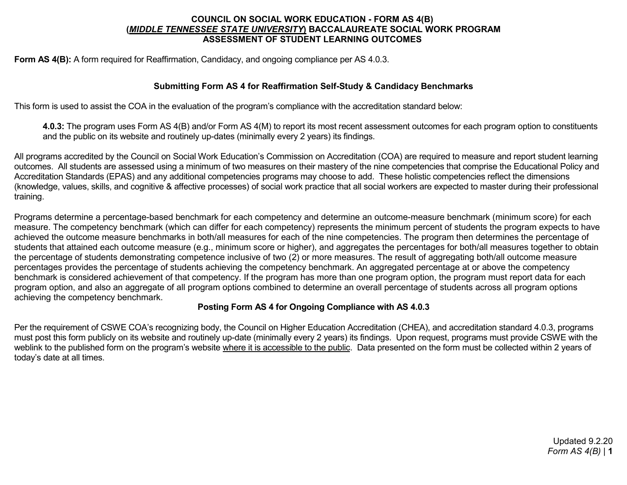# **COUNCIL ON SOCIAL WORK EDUCATION - FORM AS 4(B) (***MIDDLE TENNESSEE STATE UNIVERSITY***) BACCALAUREATE SOCIAL WORK PROGRAM ASSESSMENT OF STUDENT LEARNING OUTCOMES**

**Form AS 4(B):** A form required for Reaffirmation, Candidacy, and ongoing compliance per AS 4.0.3.

# **Submitting Form AS 4 for Reaffirmation Self-Study & Candidacy Benchmarks**

This form is used to assist the COA in the evaluation of the program's compliance with the accreditation standard below:

**4.0.3:** The program uses Form AS 4(B) and/or Form AS 4(M) to report its most recent assessment outcomes for each program option to constituents and the public on its website and routinely up-dates (minimally every 2 years) its findings.

All programs accredited by the Council on Social Work Education's Commission on Accreditation (COA) are required to measure and report student learning outcomes. All students are assessed using a minimum of two measures on their mastery of the nine competencies that comprise the Educational Policy and Accreditation Standards (EPAS) and any additional competencies programs may choose to add. These holistic competencies reflect the dimensions (knowledge, values, skills, and cognitive & affective processes) of social work practice that all social workers are expected to master during their professional training.

Programs determine a percentage-based benchmark for each competency and determine an outcome-measure benchmark (minimum score) for each measure. The competency benchmark (which can differ for each competency) represents the minimum percent of students the program expects to have achieved the outcome measure benchmarks in both/all measures for each of the nine competencies. The program then determines the percentage of students that attained each outcome measure (e.g., minimum score or higher), and aggregates the percentages for both/all measures together to obtain the percentage of students demonstrating competence inclusive of two (2) or more measures. The result of aggregating both/all outcome measure percentages provides the percentage of students achieving the competency benchmark. An aggregated percentage at or above the competency benchmark is considered achievement of that competency. If the program has more than one program option, the program must report data for each program option, and also an aggregate of all program options combined to determine an overall percentage of students across all program options achieving the competency benchmark.

# **Posting Form AS 4 for Ongoing Compliance with AS 4.0.3**

Per the requirement of CSWE COA's recognizing body, the Council on Higher Education Accreditation (CHEA), and accreditation standard 4.0.3, programs must post this form publicly on its website and routinely up-date (minimally every 2 years) its findings. Upon request, programs must provide CSWE with the weblink to the published form on the program's website where it is accessible to the public. Data presented on the form must be collected within 2 years of today's date at all times.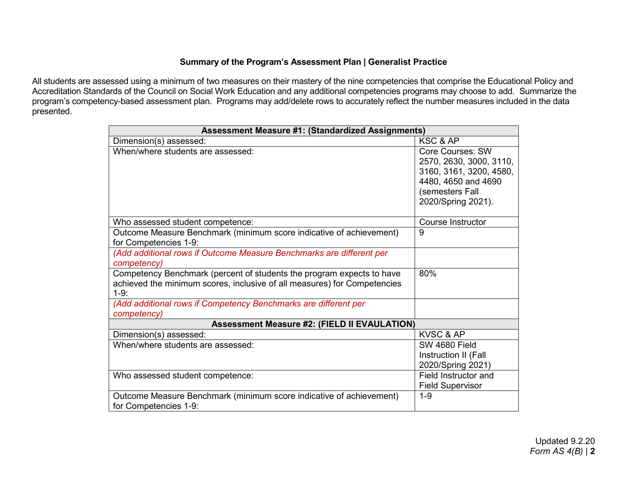# **Summary of the Program's Assessment Plan | Generalist Practice**

All students are assessed using a minimum of two measures on their mastery of the nine competencies that comprise the Educational Policy and Accreditation Standards of the Council on Social Work Education and any additional competencies programs may choose to add. Summarize the program's competency-based assessment plan. Programs may add/delete rows to accurately reflect the number measures included in the data presented.

| <b>Assessment Measure #1: (Standardized Assignments)</b>                                                                                                    |                                                                                                                                        |  |
|-------------------------------------------------------------------------------------------------------------------------------------------------------------|----------------------------------------------------------------------------------------------------------------------------------------|--|
| Dimension(s) assessed:                                                                                                                                      | KSC & AP                                                                                                                               |  |
| When/where students are assessed:                                                                                                                           | Core Courses: SW<br>2570, 2630, 3000, 3110,<br>3160, 3161, 3200, 4580,<br>4480, 4650 and 4690<br>(semesters Fall<br>2020/Spring 2021). |  |
| Who assessed student competence:                                                                                                                            | <b>Course Instructor</b>                                                                                                               |  |
| Outcome Measure Benchmark (minimum score indicative of achievement)<br>for Competencies 1-9:                                                                | 9                                                                                                                                      |  |
| (Add additional rows if Outcome Measure Benchmarks are different per<br>competency)                                                                         |                                                                                                                                        |  |
| Competency Benchmark (percent of students the program expects to have<br>achieved the minimum scores, inclusive of all measures) for Competencies<br>$1-9:$ | 80%                                                                                                                                    |  |
| (Add additional rows if Competency Benchmarks are different per<br>competency)                                                                              |                                                                                                                                        |  |
| <b>Assessment Measure #2: (FIELD II EVAULATION)</b>                                                                                                         |                                                                                                                                        |  |
| Dimension(s) assessed:                                                                                                                                      | <b>KVSC &amp; AP</b>                                                                                                                   |  |
| When/where students are assessed:                                                                                                                           | SW 4680 Field<br>Instruction II (Fall<br>2020/Spring 2021)                                                                             |  |
| Who assessed student competence:                                                                                                                            | Field Instructor and<br><b>Field Supervisor</b>                                                                                        |  |
| Outcome Measure Benchmark (minimum score indicative of achievement)<br>for Competencies 1-9:                                                                | $1 - 9$                                                                                                                                |  |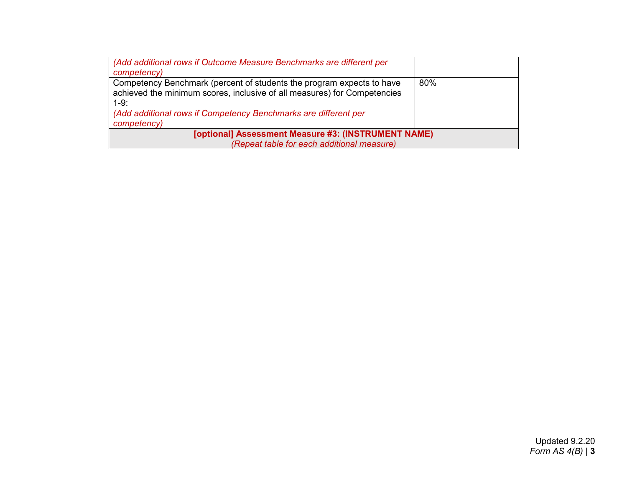| (Add additional rows if Outcome Measure Benchmarks are different per<br>competency)                                                                         |     |  |
|-------------------------------------------------------------------------------------------------------------------------------------------------------------|-----|--|
| Competency Benchmark (percent of students the program expects to have<br>achieved the minimum scores, inclusive of all measures) for Competencies<br>$1-9:$ | 80% |  |
| (Add additional rows if Competency Benchmarks are different per<br>competency)                                                                              |     |  |
| [optional] Assessment Measure #3: (INSTRUMENT NAME)                                                                                                         |     |  |
| (Repeat table for each additional measure)                                                                                                                  |     |  |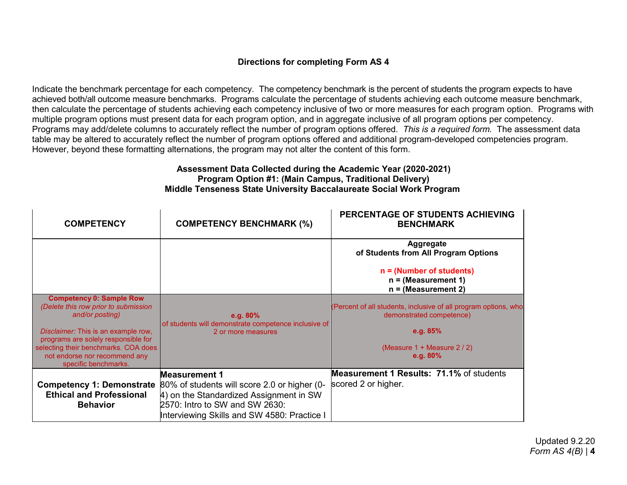# **Directions for completing Form AS 4**

Indicate the benchmark percentage for each competency. The competency benchmark is the percent of students the program expects to have achieved both/all outcome measure benchmarks. Programs calculate the percentage of students achieving each outcome measure benchmark, then calculate the percentage of students achieving each competency inclusive of two or more measures for each program option. Programs with multiple program options must present data for each program option, and in aggregate inclusive of all program options per competency. Programs may add/delete columns to accurately reflect the number of program options offered. *This is a required form.* The assessment data table may be altered to accurately reflect the number of program options offered and additional program-developed competencies program. However, beyond these formatting alternations, the program may not alter the content of this form.

#### **Assessment Data Collected during the Academic Year (2020-2021) Program Option #1: (Main Campus, Traditional Delivery) Middle Tenseness State University Baccalaureate Social Work Program**

 $\mathbf{r}$ 

| <b>COMPETENCY</b>                                                                                                                                                                                                                                                         | <b>COMPETENCY BENCHMARK (%)</b>                                                                                                                                                                  | PERCENTAGE OF STUDENTS ACHIEVING<br><b>BENCHMARK</b>                                                                                                         |
|---------------------------------------------------------------------------------------------------------------------------------------------------------------------------------------------------------------------------------------------------------------------------|--------------------------------------------------------------------------------------------------------------------------------------------------------------------------------------------------|--------------------------------------------------------------------------------------------------------------------------------------------------------------|
|                                                                                                                                                                                                                                                                           |                                                                                                                                                                                                  | <b>Aggregate</b><br>of Students from All Program Options                                                                                                     |
|                                                                                                                                                                                                                                                                           |                                                                                                                                                                                                  | $n =$ (Number of students)<br>$n = (Measurement 1)$<br>$n = (Measurement 2)$                                                                                 |
| <b>Competency 0: Sample Row</b><br>(Delete this row prior to submission<br>and/or posting)<br>Disclaimer: This is an example row,<br>programs are solely responsible for<br>selecting their benchmarks. COA does<br>not endorse nor recommend any<br>specific benchmarks. | e.g. $80\%$<br>of students will demonstrate competence inclusive of<br>2 or more measures                                                                                                        | (Percent of all students, inclusive of all program options, who<br>demonstrated competence)<br>e.g. $85%$<br>(Measure $1 +$ Measure $2 / 2$ )<br>e.g. $80\%$ |
| <b>Competency 1: Demonstrate</b><br><b>Ethical and Professional</b><br><b>Behavior</b>                                                                                                                                                                                    | <b>Measurement 1</b><br>80% of students will score 2.0 or higher (0-<br>4) on the Standardized Assignment in SW<br>2570: Intro to SW and SW 2630:<br>Interviewing Skills and SW 4580: Practice I | <b>Measurement 1 Results: 71.1% of students</b><br>scored 2 or higher.                                                                                       |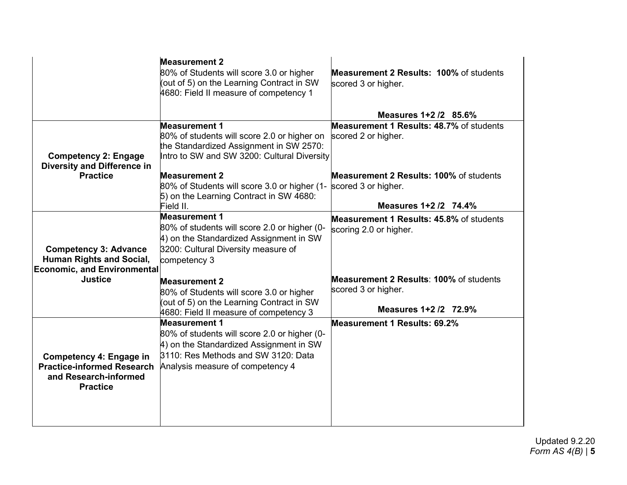|                                                                                                                 | <b>Measurement 2</b><br>80% of Students will score 3.0 or higher<br>(out of 5) on the Learning Contract in SW<br>4680: Field II measure of competency 1                                    | <b>Measurement 2 Results: 100% of students</b><br>scored 3 or higher.                          |
|-----------------------------------------------------------------------------------------------------------------|--------------------------------------------------------------------------------------------------------------------------------------------------------------------------------------------|------------------------------------------------------------------------------------------------|
|                                                                                                                 |                                                                                                                                                                                            | Measures 1+2 /2 85.6%                                                                          |
| <b>Competency 2: Engage</b><br><b>Diversity and Difference in</b><br><b>Practice</b>                            | <b>Measurement 1</b><br>80% of students will score 2.0 or higher on<br>the Standardized Assignment in SW 2570:<br>Intro to SW and SW 3200: Cultural Diversity                              | Measurement 1 Results: 48.7% of students<br>scored 2 or higher.                                |
|                                                                                                                 | <b>Measurement 2</b><br>80% of Students will score 3.0 or higher (1-<br>5) on the Learning Contract in SW 4680:<br>Field II.                                                               | Measurement 2 Results: 100% of students<br>scored 3 or higher.<br>Measures 1+2 /2 74.4%        |
| <b>Competency 3: Advance</b><br><b>Human Rights and Social,</b><br><b>Economic, and Environmental</b>           | <b>Measurement 1</b><br>80% of students will score 2.0 or higher (0-<br>4) on the Standardized Assignment in SW<br>3200: Cultural Diversity measure of<br>competency 3                     | <b>Measurement 1 Results: 45.8% of students</b><br>scoring 2.0 or higher.                      |
| <b>Justice</b>                                                                                                  | <b>Measurement 2</b><br>80% of Students will score 3.0 or higher<br>(out of 5) on the Learning Contract in SW<br>4680: Field II measure of competency 3                                    | <b>Measurement 2 Results: 100% of students</b><br>scored 3 or higher.<br>Measures 1+2 /2 72.9% |
| <b>Competency 4: Engage in</b><br><b>Practice-informed Research</b><br>and Research-informed<br><b>Practice</b> | <b>Measurement 1</b><br>80% of students will score 2.0 or higher (0-<br>4) on the Standardized Assignment in SW<br>3110: Res Methods and SW 3120: Data<br>Analysis measure of competency 4 | <b>Measurement 1 Results: 69.2%</b>                                                            |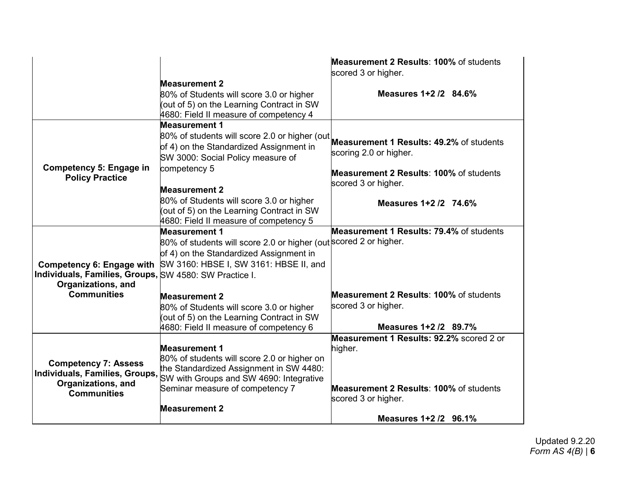|                                                                                                           |                                                                                                                                                                                                                      | <b>Measurement 2 Results: 100% of students</b><br>scored 3 or higher.                                                                                 |
|-----------------------------------------------------------------------------------------------------------|----------------------------------------------------------------------------------------------------------------------------------------------------------------------------------------------------------------------|-------------------------------------------------------------------------------------------------------------------------------------------------------|
|                                                                                                           | <b>Measurement 2</b>                                                                                                                                                                                                 |                                                                                                                                                       |
|                                                                                                           | 80% of Students will score 3.0 or higher<br>(out of 5) on the Learning Contract in SW<br>4680: Field II measure of competency 4                                                                                      | Measures 1+2 /2 84.6%                                                                                                                                 |
| <b>Competency 5: Engage in</b>                                                                            | <b>Measurement 1</b><br>80% of students will score 2.0 or higher (out<br>of 4) on the Standardized Assignment in<br>SW 3000: Social Policy measure of<br>competency 5                                                | <b>Measurement 1 Results: 49.2% of students</b><br>scoring 2.0 or higher.                                                                             |
| <b>Policy Practice</b>                                                                                    |                                                                                                                                                                                                                      | <b>Measurement 2 Results: 100% of students</b><br>scored 3 or higher.                                                                                 |
|                                                                                                           | <b>Measurement 2</b><br>80% of Students will score 3.0 or higher<br>(out of 5) on the Learning Contract in SW<br>4680: Field II measure of competency 5                                                              | Measures 1+2/2 74.6%                                                                                                                                  |
| <b>Competency 6: Engage with</b><br>Individuals, Families, Groups, SW 4580: SW Practice I.                | <b>Measurement 1</b><br>80% of students will score 2.0 or higher (out scored 2 or higher.<br>of 4) on the Standardized Assignment in<br>SW 3160: HBSE I, SW 3161: HBSE II, and                                       | Measurement 1 Results: 79.4% of students                                                                                                              |
| Organizations, and<br><b>Communities</b>                                                                  | <b>Measurement 2</b><br>80% of Students will score 3.0 or higher<br>(out of 5) on the Learning Contract in SW<br>4680: Field II measure of competency 6                                                              | Measurement 2 Results: 100% of students<br>scored 3 or higher.<br>Measures 1+2 /2 89.7%                                                               |
| <b>Competency 7: Assess</b><br>Individuals, Families, Groups,<br>Organizations, and<br><b>Communities</b> | <b>Measurement 1</b><br>80% of students will score 2.0 or higher on<br>the Standardized Assignment in SW 4480:<br>SW with Groups and SW 4690: Integrative<br>Seminar measure of competency 7<br><b>Measurement 2</b> | Measurement 1 Results: 92.2% scored 2 or<br>higher.<br><b>Measurement 2 Results: 100% of students</b><br>scored 3 or higher.<br>Measures 1+2 /2 96.1% |